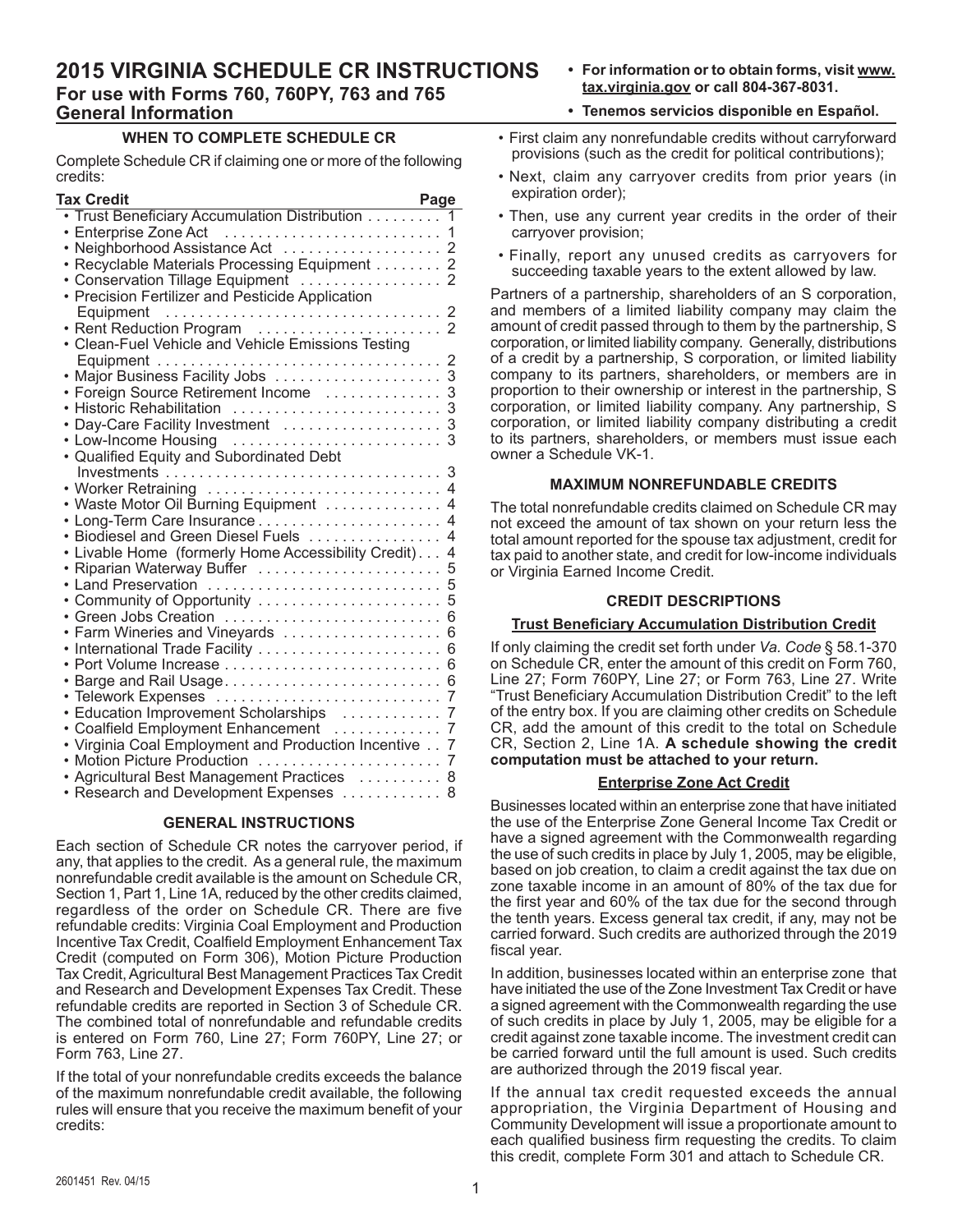# **2015 VIRGINIA SCHEDULE CR INSTRUCTIONS For use with Forms 760, 760PY, 763 and 765 General Information**

**• For information or to obtain forms, visit www. tax.virginia.gov or call 804-367-8031.** 

# **WHEN TO COMPLETE SCHEDULE CR**

Complete Schedule CR if claiming one or more of the following credits:

| <b>Tax Credit</b>                                                                 | Page                |
|-----------------------------------------------------------------------------------|---------------------|
| Trust Beneficiary Accumulation Distribution                                       | 1                   |
| Enterprise Zone Act<br>Neighborhood Assistance Act<br>Neighborhood Assistance Act | 1                   |
|                                                                                   | 2                   |
| Recyclable Materials Processing Equipment 2                                       |                     |
| Conservation Tillage Equipment                                                    | $\overline{2}$      |
| Precision Fertilizer and Pesticide Application<br>Equipment                       | 2                   |
| Rent Reduction Program                                                            | $\overline{2}$      |
| Clean-Fuel Vehicle and Vehicle Emissions Testing                                  |                     |
|                                                                                   | $\overline{2}$      |
| Major Business Facility Jobs                                                      | 3                   |
| Foreign Source Retirement Income                                                  | 3                   |
| <b>Historic Rehabilitation</b>                                                    | 3                   |
| Day-Care Facility Investment                                                      | 3                   |
| Low-Income Housing<br>Qualified Equity and Subordinated Debt                      |                     |
|                                                                                   | 3                   |
| Worker Retraining                                                                 | $\overline{4}$      |
| Waste Motor Oil Burning Equipment                                                 | 4                   |
|                                                                                   | 4                   |
| Biodiesel and Green Diesel Fuels                                                  | 4                   |
| Livable Home (formerly Home Accessibility Credit).                                | $\overline{4}$      |
| Riparian Waterway Buffer                                                          | 5                   |
| Land Preservation                                                                 | 5                   |
| Community of Opportunity                                                          | 5                   |
|                                                                                   | 6                   |
| Farm Wineries and Vineyards                                                       | 6                   |
| International Trade Facility                                                      | 6                   |
|                                                                                   | 6                   |
| Barge and Rail Usage                                                              | 6                   |
| Telework Expenses                                                                 | 7<br>$\overline{7}$ |
| Education Improvement Scholarships<br>Coalfield Employment Enhancement            | 7                   |
| Virginia Coal Employment and Production Incentive                                 | 7                   |
| <b>Motion Picture Production</b>                                                  | 7                   |
| Agricultural Best Management Practices                                            | 8                   |
| Research and Development Expenses                                                 | 8                   |
|                                                                                   |                     |

# **GENERAL INSTRUCTIONS**

Each section of Schedule CR notes the carryover period, if any, that applies to the credit. As a general rule, the maximum nonrefundable credit available is the amount on Schedule CR, Section 1, Part 1, Line 1A, reduced by the other credits claimed, regardless of the order on Schedule CR. There are five refundable credits: Virginia Coal Employment and Production Incentive Tax Credit, Coalfield Employment Enhancement Tax Credit (computed on Form 306), Motion Picture Production Tax Credit, Agricultural Best Management Practices Tax Credit and Research and Development Expenses Tax Credit. These refundable credits are reported in Section 3 of Schedule CR. The combined total of nonrefundable and refundable credits is entered on Form 760, Line 27; Form 760PY, Line 27; or Form 763, Line 27.

If the total of your nonrefundable credits exceeds the balance of the maximum nonrefundable credit available, the following rules will ensure that you receive the maximum benefit of your credits:

- **• Tenemos servicios disponible en Español.**
- First claim any nonrefundable credits without carryforward provisions (such as the credit for political contributions);
- Next, claim any carryover credits from prior years (in expiration order);
- Then, use any current year credits in the order of their carryover provision;
- • Finally, report any unused credits as carryovers for succeeding taxable years to the extent allowed by law.

Partners of a partnership, shareholders of an S corporation, and members of a limited liability company may claim the amount of credit passed through to them by the partnership, S corporation, or limited liability company. Generally, distributions of a credit by a partnership, S corporation, or limited liability company to its partners, shareholders, or members are in proportion to their ownership or interest in the partnership, S corporation, or limited liability company. Any partnership, S corporation, or limited liability company distributing a credit to its partners, shareholders, or members must issue each owner a Schedule VK-1.

### **MAXIMUM NONREFUNDABLE CREDITS**

The total nonrefundable credits claimed on Schedule CR may not exceed the amount of tax shown on your return less the total amount reported for the spouse tax adjustment, credit for tax paid to another state, and credit for low-income individuals or Virginia Earned Income Credit.

#### **CREDIT DESCRIPTIONS**

# **Trust Beneficiary Accumulation Distribution Credit**

If only claiming the credit set forth under *Va. Code* § 58.1‑370 on Schedule CR, enter the amount of this credit on Form 760, Line 27; Form 760PY, Line 27; or Form 763, Line 27. Write "Trust Beneficiary Accumulation Distribution Credit" to the left of the entry box. If you are claiming other credits on Schedule CR, add the amount of this credit to the total on Schedule CR, Section 2, Line 1A. **A schedule showing the credit computation must be attached to your return.**

#### **Enterprise Zone Act Credit**

Businesses located within an enterprise zone that have initiated the use of the Enterprise Zone General Income Tax Credit or have a signed agreement with the Commonwealth regarding the use of such credits in place by July 1, 2005, may be eligible, based on job creation, to claim a credit against the tax due on zone taxable income in an amount of 80% of the tax due for the first year and 60% of the tax due for the second through the tenth years. Excess general tax credit, if any, may not be carried forward. Such credits are authorized through the 2019 fiscal year.

In addition, businesses located within an enterprise zone that have initiated the use of the Zone Investment Tax Credit or have a signed agreement with the Commonwealth regarding the use of such credits in place by July 1, 2005, may be eligible for a credit against zone taxable income. The investment credit can be carried forward until the full amount is used. Such credits are authorized through the 2019 fiscal year.

If the annual tax credit requested exceeds the annual appropriation, the Virginia Department of Housing and Community Development will issue a proportionate amount to each qualified business firm requesting the credits. To claim this credit, complete Form 301 and attach to Schedule CR.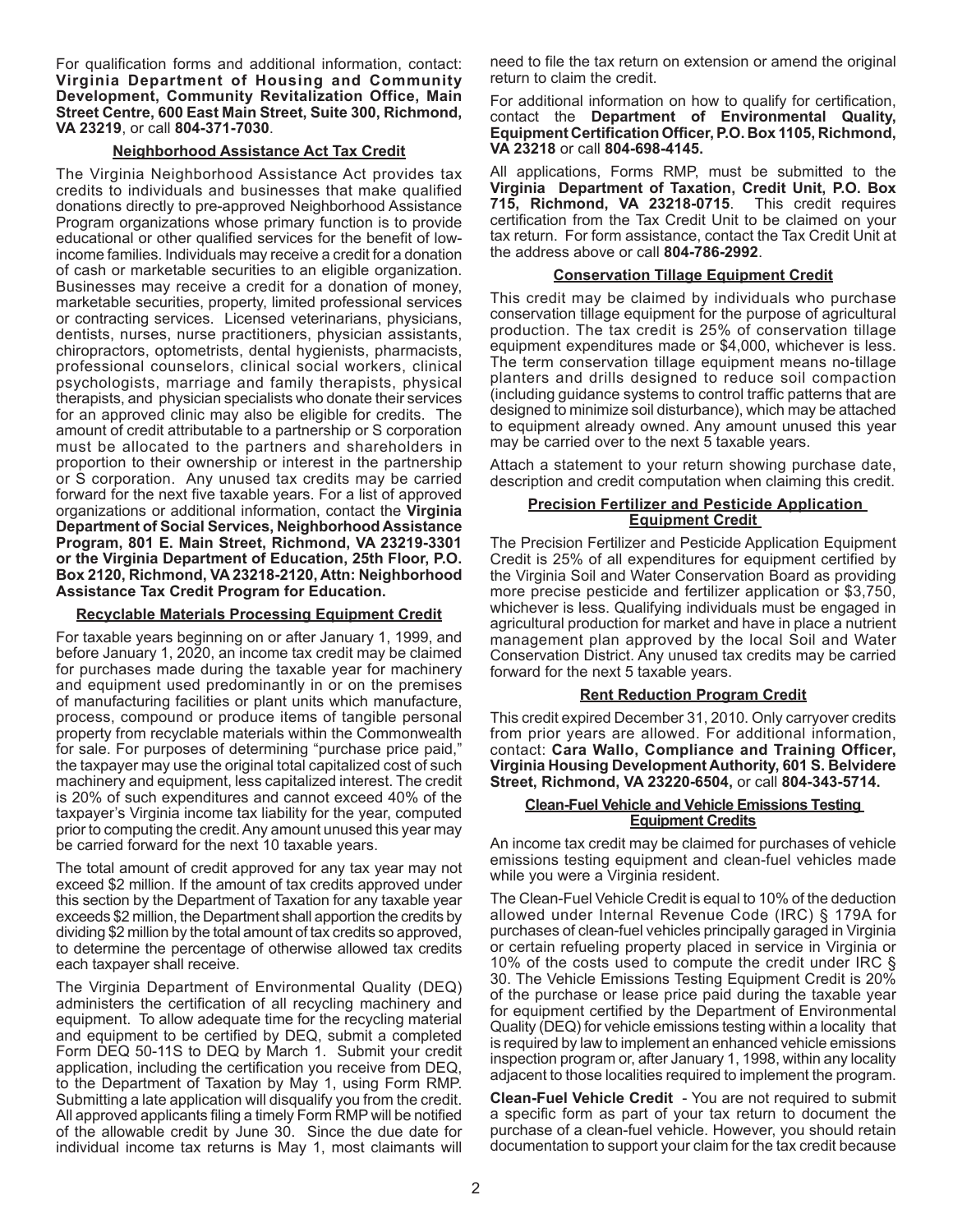For qualification forms and additional information, contact: **Virginia Department of Housing and Community Development, Community Revitalization Office, Main Street Centre, 600 East Main Street, Suite 300, Richmond, VA 23219**, or call **804-371-7030**.

# **Neighborhood Assistance Act Tax Credit**

The Virginia Neighborhood Assistance Act provides tax credits to individuals and businesses that make qualified donations directly to pre-approved Neighborhood Assistance Program organizations whose primary function is to provide educational or other qualified services for the benefit of lowincome families. Individuals may receive a credit for a donation of cash or marketable securities to an eligible organization. Businesses may receive a credit for a donation of money, marketable securities, property, limited professional services or contracting services. Licensed veterinarians, physicians, dentists, nurses, nurse practitioners, physician assistants, chiropractors, optometrists, dental hygienists, pharmacists, professional counselors, clinical social workers, clinical psychologists, marriage and family therapists, physical therapists, and physician specialists who donate their services for an approved clinic may also be eligible for credits. The amount of credit attributable to a partnership or S corporation must be allocated to the partners and shareholders in proportion to their ownership or interest in the partnership or S corporation. Any unused tax credits may be carried forward for the next five taxable years. For a list of approved organizations or additional information, contact the **Virginia Department of Social Services, Neighborhood Assistance Program, 801 E. Main Street, Richmond, VA 23219-3301 or the Virginia Department of Education, 25th Floor, P.O. Box 2120, Richmond, VA 23218-2120, Attn: Neighborhood Assistance Tax Credit Program for Education.**

### **Recyclable Materials Processing Equipment Credit**

For taxable years beginning on or after January 1, 1999, and before January 1, 2020, an income tax credit may be claimed for purchases made during the taxable year for machinery and equipment used predominantly in or on the premises of manufacturing facilities or plant units which manufacture, process, compound or produce items of tangible personal property from recyclable materials within the Commonwealth for sale. For purposes of determining "purchase price paid," the taxpayer may use the original total capitalized cost of such machinery and equipment, less capitalized interest. The credit is 20% of such expenditures and cannot exceed 40% of the taxpayer's Virginia income tax liability for the year, computed prior to computing the credit. Any amount unused this year may be carried forward for the next 10 taxable years.

The total amount of credit approved for any tax year may not exceed \$2 million. If the amount of tax credits approved under this section by the Department of Taxation for any taxable year exceeds \$2 million, the Department shall apportion the credits by dividing \$2 million by the total amount of tax credits so approved, to determine the percentage of otherwise allowed tax credits each taxpayer shall receive.

The Virginia Department of Environmental Quality (DEQ) administers the certification of all recycling machinery and equipment. To allow adequate time for the recycling material and equipment to be certified by DEQ, submit a completed Form DEQ 50-11S to DEQ by March 1. Submit your credit application, including the certification you receive from DEQ, to the Department of Taxation by May 1, using Form RMP. Submitting a late application will disqualify you from the credit. All approved applicants filing a timely Form RMP will be notified of the allowable credit by June 30. Since the due date for individual income tax returns is May 1, most claimants will

need to file the tax return on extension or amend the original return to claim the credit.

For additional information on how to qualify for certification, contact the **Department of Environmental Quality, Equipment Certification Officer, P.O. Box 1105, Richmond, VA 23218** or call **804-698-4145.**

All applications, Forms RMP, must be submitted to the **Virginia Department of Taxation, Credit Unit, P.O. Box 715, Richmond, VA 23218-0715**. This credit requires certification from the Tax Credit Unit to be claimed on your tax return. For form assistance, contact the Tax Credit Unit at the address above or call **804-786-2992**.

#### **Conservation Tillage Equipment Credit**

This credit may be claimed by individuals who purchase conservation tillage equipment for the purpose of agricultural production. The tax credit is 25% of conservation tillage equipment expenditures made or \$4,000, whichever is less. The term conservation tillage equipment means no-tillage planters and drills designed to reduce soil compaction (including guidance systems to control traffic patterns that are designed to minimize soil disturbance), which may be attached to equipment already owned. Any amount unused this year may be carried over to the next 5 taxable years.

Attach a statement to your return showing purchase date, description and credit computation when claiming this credit.

### **Precision Fertilizer and Pesticide Application Equipment Credit**

The Precision Fertilizer and Pesticide Application Equipment Credit is 25% of all expenditures for equipment certified by the Virginia Soil and Water Conservation Board as providing more precise pesticide and fertilizer application or \$3,750, whichever is less. Qualifying individuals must be engaged in agricultural production for market and have in place a nutrient management plan approved by the local Soil and Water Conservation District. Any unused tax credits may be carried forward for the next 5 taxable years.

# **Rent Reduction Program Credit**

This credit expired December 31, 2010. Only carryover credits from prior years are allowed. For additional information, contact: **Cara Wallo, Compliance and Training Officer, Virginia Housing Development Authority, 601 S. Belvidere Street, Richmond, VA 23220-6504,** or call **804-343-5714.**

### **Clean-Fuel Vehicle and Vehicle Emissions Testing Equipment Credits**

An income tax credit may be claimed for purchases of vehicle emissions testing equipment and clean-fuel vehicles made while you were a Virginia resident.

The Clean-Fuel Vehicle Credit is equal to 10% of the deduction allowed under Internal Revenue Code (IRC) § 179A for purchases of clean-fuel vehicles principally garaged in Virginia or certain refueling property placed in service in Virginia or 10% of the costs used to compute the credit under IRC § 30. The Vehicle Emissions Testing Equipment Credit is 20% of the purchase or lease price paid during the taxable year for equipment certified by the Department of Environmental Quality (DEQ) for vehicle emissions testing within a locality that is required by law to implement an enhanced vehicle emissions inspection program or, after January 1, 1998, within any locality adjacent to those localities required to implement the program.

**Clean-Fuel Vehicle Credit** - You are not required to submit a specific form as part of your tax return to document the purchase of a clean-fuel vehicle. However, you should retain documentation to support your claim for the tax credit because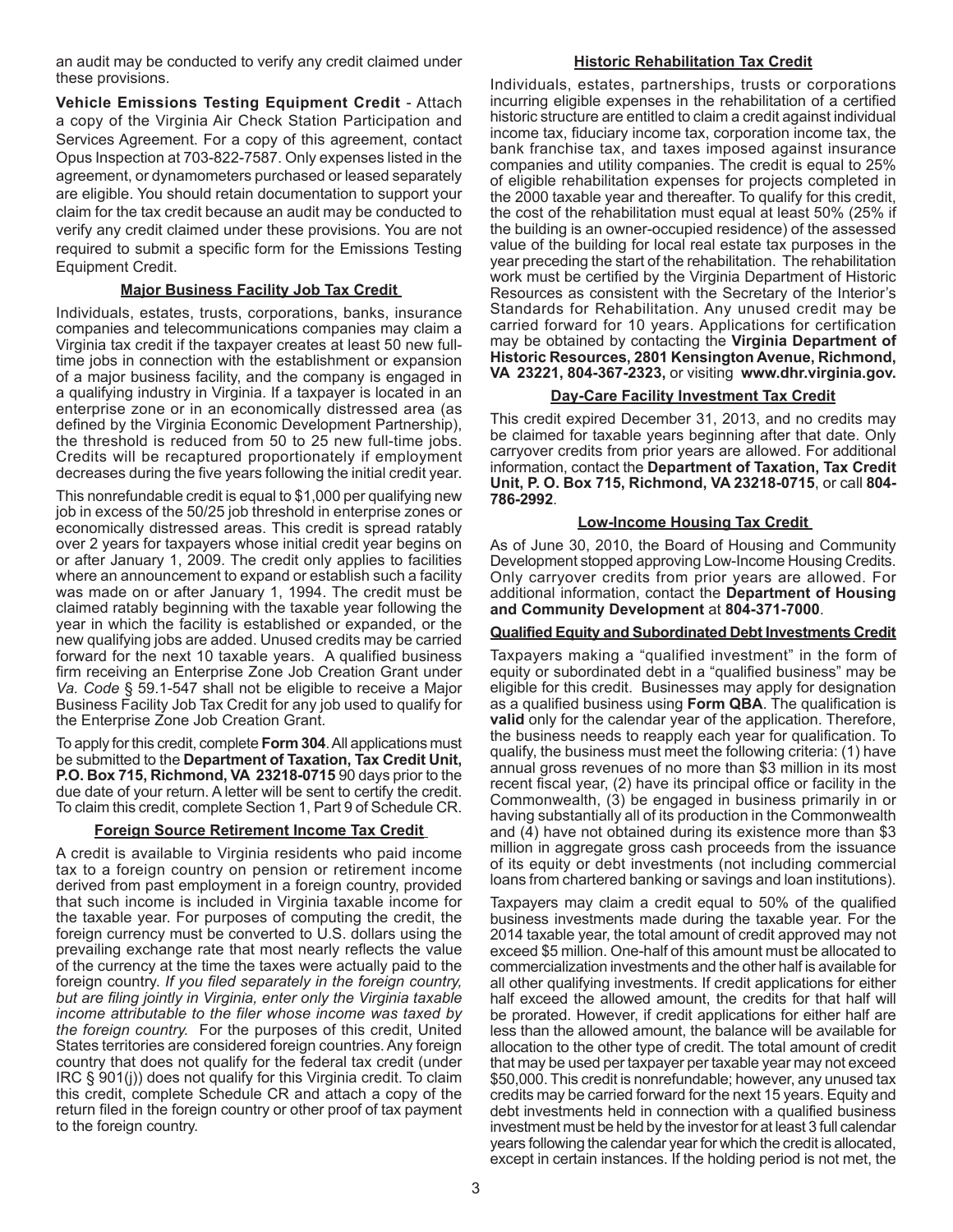an audit may be conducted to verify any credit claimed under these provisions.

**Vehicle Emissions Testing Equipment Credit** - Attach a copy of the Virginia Air Check Station Participation and Services Agreement. For a copy of this agreement, contact Opus Inspection at 703-822-7587. Only expenses listed in the agreement, or dynamometers purchased or leased separately are eligible. You should retain documentation to support your claim for the tax credit because an audit may be conducted to verify any credit claimed under these provisions. You are not required to submit a specific form for the Emissions Testing Equipment Credit.

# **Major Business Facility Job Tax Credit**

Individuals, estates, trusts, corporations, banks, insurance companies and telecommunications companies may claim a Virginia tax credit if the taxpayer creates at least 50 new fulltime jobs in connection with the establishment or expansion of a major business facility, and the company is engaged in a qualifying industry in Virginia. If a taxpayer is located in an enterprise zone or in an economically distressed area (as defined by the Virginia Economic Development Partnership), the threshold is reduced from 50 to 25 new full-time jobs. Credits will be recaptured proportionately if employment decreases during the five years following the initial credit year.

This nonrefundable credit is equal to \$1,000 per qualifying new job in excess of the 50/25 job threshold in enterprise zones or economically distressed areas. This credit is spread ratably over 2 years for taxpayers whose initial credit year begins on or after January 1, 2009. The credit only applies to facilities where an announcement to expand or establish such a facility was made on or after January 1, 1994. The credit must be claimed ratably beginning with the taxable year following the year in which the facility is established or expanded, or the new qualifying jobs are added. Unused credits may be carried forward for the next 10 taxable years. A qualified business firm receiving an Enterprise Zone Job Creation Grant under *Va. Code* § 59.1-547 shall not be eligible to receive a Major Business Facility Job Tax Credit for any job used to qualify for the Enterprise Zone Job Creation Grant.

To apply for this credit, complete **Form 304**. All applications must be submitted to the **Department of Taxation, Tax Credit Unit, P.O. Box 715, Richmond, VA 23218-0715** 90 days prior to the due date of your return. A letter will be sent to certify the credit. To claim this credit, complete Section 1, Part 9 of Schedule CR.

# **Foreign Source Retirement Income Tax Credit**

A credit is available to Virginia residents who paid income tax to a foreign country on pension or retirement income derived from past employment in a foreign country, provided that such income is included in Virginia taxable income for the taxable year. For purposes of computing the credit, the foreign currency must be converted to U.S. dollars using the prevailing exchange rate that most nearly reflects the value of the currency at the time the taxes were actually paid to the foreign country. *If you filed separately in the foreign country, but are filing jointly in Virginia, enter only the Virginia taxable income attributable to the filer whose income was taxed by the foreign country.* For the purposes of this credit, United States territories are considered foreign countries. Any foreign country that does not qualify for the federal tax credit (under IRC § 901(j)) does not qualify for this Virginia credit. To claim this credit, complete Schedule CR and attach a copy of the return filed in the foreign country or other proof of tax payment to the foreign country.

# **Historic Rehabilitation Tax Credit**

Individuals, estates, partnerships, trusts or corporations incurring eligible expenses in the rehabilitation of a certified historic structure are entitled to claim a credit against individual income tax, fiduciary income tax, corporation income tax, the bank franchise tax, and taxes imposed against insurance companies and utility companies. The credit is equal to 25% of eligible rehabilitation expenses for projects completed in the 2000 taxable year and thereafter. To qualify for this credit, the cost of the rehabilitation must equal at least 50% (25% if the building is an owner-occupied residence) of the assessed value of the building for local real estate tax purposes in the year preceding the start of the rehabilitation. The rehabilitation work must be certified by the Virginia Department of Historic Resources as consistent with the Secretary of the Interior's Standards for Rehabilitation. Any unused credit may be carried forward for 10 years. Applications for certification may be obtained by contacting the **Virginia Department of Historic Resources, 2801 Kensington Avenue, Richmond, VA 23221, 804-367-2323,** or visiting **www.dhr.virginia.gov.**

# **Day-Care Facility Investment Tax Credit**

This credit expired December 31, 2013, and no credits may be claimed for taxable years beginning after that date. Only carryover credits from prior years are allowed. For additional information, contact the **Department of Taxation, Tax Credit Unit, P. O. Box 715, Richmond, VA 23218-0715**, or call **804- 786-2992**.

# **Low-Income Housing Tax Credit**

As of June 30, 2010, the Board of Housing and Community Development stopped approving Low-Income Housing Credits. Only carryover credits from prior years are allowed. For additional information, contact the **Department of Housing and Community Development** at **804-371-7000**.

# **Qualified Equity and Subordinated Debt Investments Credit**

Taxpayers making a "qualified investment" in the form of equity or subordinated debt in a "qualified business" may be eligible for this credit. Businesses may apply for designation as a qualified business using **Form QBA**. The qualification is **valid** only for the calendar year of the application. Therefore, the business needs to reapply each year for qualification. To qualify, the business must meet the following criteria: (1) have annual gross revenues of no more than \$3 million in its most recent fiscal year, (2) have its principal office or facility in the Commonwealth, (3) be engaged in business primarily in or having substantially all of its production in the Commonwealth and (4) have not obtained during its existence more than \$3 million in aggregate gross cash proceeds from the issuance of its equity or debt investments (not including commercial loans from chartered banking or savings and loan institutions).

Taxpayers may claim a credit equal to 50% of the qualified business investments made during the taxable year. For the 2014 taxable year, the total amount of credit approved may not exceed \$5 million. One-half of this amount must be allocated to commercialization investments and the other half is available for all other qualifying investments. If credit applications for either half exceed the allowed amount, the credits for that half will be prorated. However, if credit applications for either half are less than the allowed amount, the balance will be available for allocation to the other type of credit. The total amount of credit that may be used per taxpayer per taxable year may not exceed \$50,000. This credit is nonrefundable; however, any unused tax credits may be carried forward for the next 15 years. Equity and debt investments held in connection with a qualified business investment must be held by the investor for at least 3 full calendar years following the calendar year for which the credit is allocated, except in certain instances. If the holding period is not met, the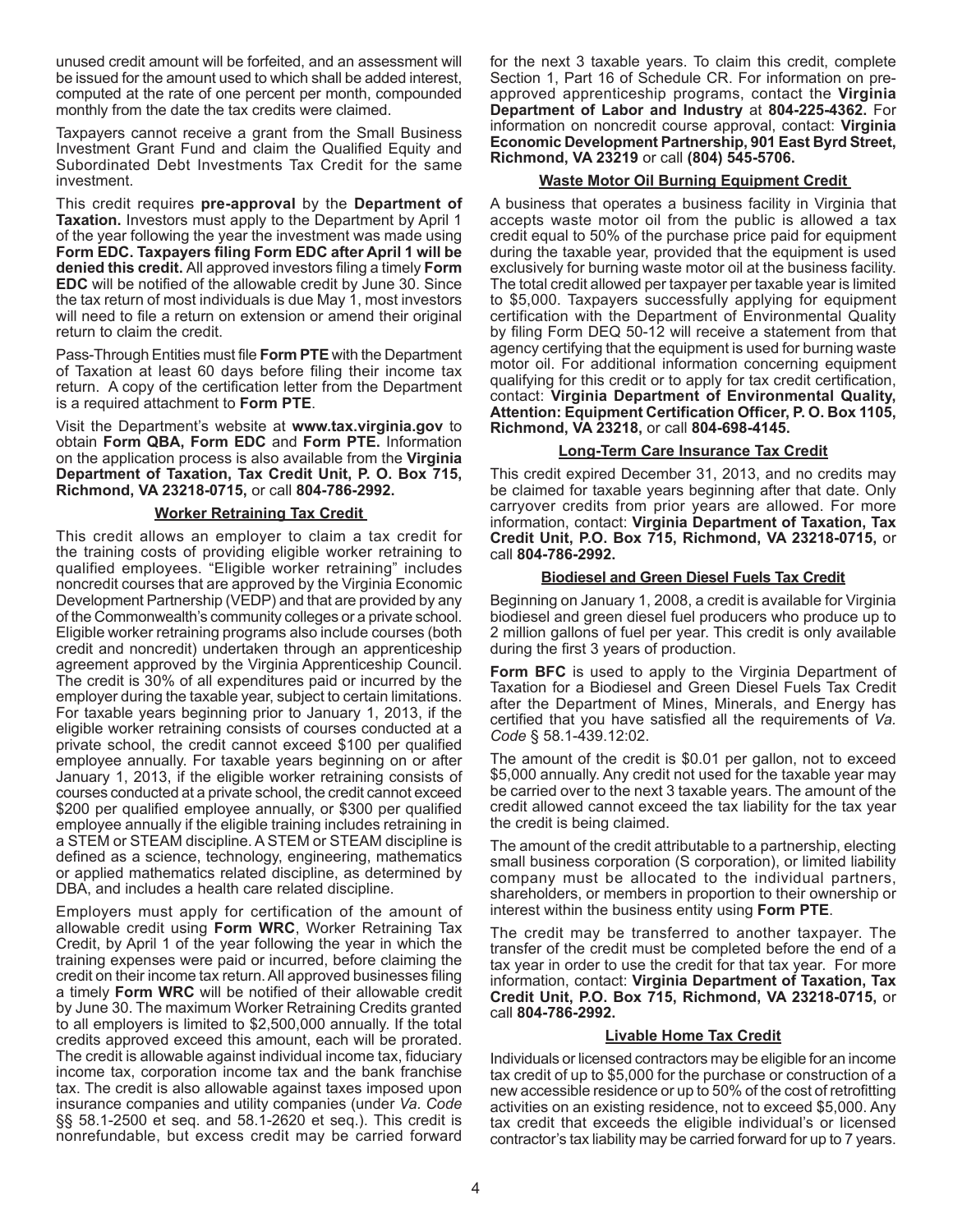unused credit amount will be forfeited, and an assessment will be issued for the amount used to which shall be added interest, computed at the rate of one percent per month, compounded monthly from the date the tax credits were claimed.

Taxpayers cannot receive a grant from the Small Business Investment Grant Fund and claim the Qualified Equity and Subordinated Debt Investments Tax Credit for the same investment.

This credit requires **pre-approval** by the **Department of Taxation.** Investors must apply to the Department by April 1 of the year following the year the investment was made using **Form EDC. Taxpayers filing Form EDC after April 1 will be denied this credit.** All approved investors filing a timely **Form EDC** will be notified of the allowable credit by June 30. Since the tax return of most individuals is due May 1, most investors will need to file a return on extension or amend their original return to claim the credit.

Pass-Through Entities must file **Form PTE** with the Department of Taxation at least 60 days before filing their income tax return. A copy of the certification letter from the Department is a required attachment to **Form PTE**.

Visit the Department's website at **www.tax.virginia.gov** to obtain **Form QBA, Form EDC** and **Form PTE.** Information on the application process is also available from the **Virginia Department of Taxation, Tax Credit Unit, P. O. Box 715, Richmond, VA 23218-0715,** or call **804-786-2992.**

### **Worker Retraining Tax Credit**

This credit allows an employer to claim a tax credit for the training costs of providing eligible worker retraining to qualified employees. "Eligible worker retraining" includes noncredit courses that are approved by the Virginia Economic Development Partnership (VEDP) and that are provided by any of the Commonwealth's community colleges or a private school. Eligible worker retraining programs also include courses (both credit and noncredit) undertaken through an apprenticeship agreement approved by the Virginia Apprenticeship Council. The credit is 30% of all expenditures paid or incurred by the employer during the taxable year, subject to certain limitations. For taxable years beginning prior to January 1, 2013, if the eligible worker retraining consists of courses conducted at a private school, the credit cannot exceed \$100 per qualified employee annually. For taxable years beginning on or after January 1, 2013, if the eligible worker retraining consists of courses conducted at a private school, the credit cannot exceed \$200 per qualified employee annually, or \$300 per qualified employee annually if the eligible training includes retraining in a STEM or STEAM discipline. ASTEM or STEAM discipline is defined as a science, technology, engineering, mathematics or applied mathematics related discipline, as determined by DBA, and includes a health care related discipline.

Employers must apply for certification of the amount of allowable credit using **Form WRC**, Worker Retraining Tax Credit, by April 1 of the year following the year in which the training expenses were paid or incurred, before claiming the credit on their income tax return.All approved businesses filing a timely **Form WRC** will be notified of their allowable credit by June 30. The maximum Worker Retraining Credits granted to all employers is limited to \$2,500,000 annually. If the total credits approved exceed this amount, each will be prorated. The credit is allowable against individual income tax, fiduciary income tax, corporation income tax and the bank franchise tax. The credit is also allowable against taxes imposed upon insurance companies and utility companies (under *Va. Code* §§ 58.1-2500 et seq. and 58.1-2620 et seq.). This credit is nonrefundable, but excess credit may be carried forward

for the next 3 taxable years. To claim this credit, complete Section 1, Part 16 of Schedule CR. For information on preapproved apprenticeship programs, contact the **Virginia Department of Labor and Industry** at **804-225-4362.** For information on noncredit course approval, contact: **Virginia Economic Development Partnership, 901 East Byrd Street, Richmond, VA 23219** or call **(804) 545-5706.**

## **Waste Motor Oil Burning Equipment Credit**

A business that operates a business facility in Virginia that accepts waste motor oil from the public is allowed a tax credit equal to 50% of the purchase price paid for equipment during the taxable year, provided that the equipment is used exclusively for burning waste motor oil at the business facility. The total credit allowed per taxpayer per taxable year is limited to \$5,000. Taxpayers successfully applying for equipment certification with the Department of Environmental Quality by filing Form DEQ 50-12 will receive a statement from that agency certifying that the equipment is used for burning waste motor oil. For additional information concerning equipment qualifying for this credit or to apply for tax credit certification, contact: **Virginia Department of Environmental Quality, Attention: Equipment Certification Officer, P. O. Box 1105, Richmond, VA 23218,** or call **804-698-4145.**

#### **Long-Term Care Insurance Tax Credit**

This credit expired December 31, 2013, and no credits may be claimed for taxable years beginning after that date. Only carryover credits from prior years are allowed. For more information, contact: **Virginia Department of Taxation, Tax Credit Unit, P.O. Box 715, Richmond, VA 23218-0715,** or call **804-786-2992.**

### **Biodiesel and Green Diesel Fuels Tax Credit**

Beginning on January 1, 2008, a credit is available for Virginia biodiesel and green diesel fuel producers who produce up to 2 million gallons of fuel per year. This credit is only available during the first 3 years of production.

**Form BFC** is used to apply to the Virginia Department of Taxation for a Biodiesel and Green Diesel Fuels Tax Credit after the Department of Mines, Minerals, and Energy has certified that you have satisfied all the requirements of *Va. Code* § 58.1-439.12:02.

The amount of the credit is \$0.01 per gallon, not to exceed \$5,000 annually. Any credit not used for the taxable year may be carried over to the next 3 taxable years. The amount of the credit allowed cannot exceed the tax liability for the tax year the credit is being claimed.

The amount of the credit attributable to a partnership, electing small business corporation (S corporation), or limited liability company must be allocated to the individual partners, shareholders, or members in proportion to their ownership or interest within the business entity using **Form PTE**.

The credit may be transferred to another taxpayer. The transfer of the credit must be completed before the end of a tax year in order to use the credit for that tax year. For more information, contact: **Virginia Department of Taxation, Tax Credit Unit, P.O. Box 715, Richmond, VA 23218-0715,** or call **804-786-2992.**

#### **Livable Home Tax Credit**

Individuals or licensed contractors may be eligible for an income tax credit of up to \$5,000 for the purchase or construction of a new accessible residence or up to 50% of the cost of retrofitting activities on an existing residence, not to exceed \$5,000. Any tax credit that exceeds the eligible individual's or licensed contractor's tax liability may be carried forward for up to 7 years.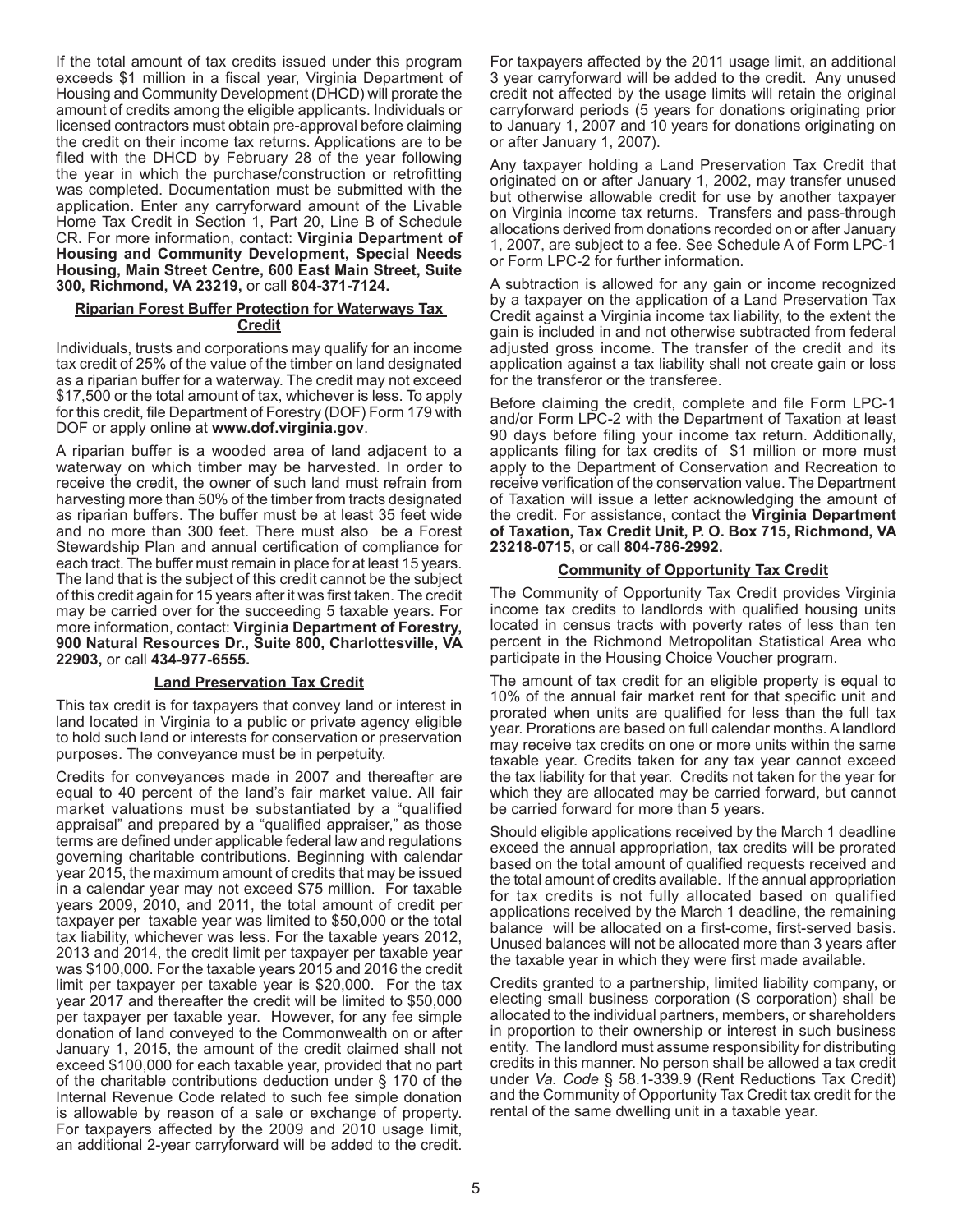If the total amount of tax credits issued under this program exceeds \$1 million in a fiscal year, Virginia Department of Housing and Community Development (DHCD) will prorate the amount of credits among the eligible applicants. Individuals or licensed contractors must obtain pre-approval before claiming the credit on their income tax returns. Applications are to be filed with the DHCD by February 28 of the year following the year in which the purchase/construction or retrofitting was completed. Documentation must be submitted with the application. Enter any carryforward amount of the Livable Home Tax Credit in Section 1, Part 20, Line B of Schedule CR. For more information, contact: **Virginia Department of Housing and Community Development, Special Needs Housing, Main Street Centre, 600 East Main Street, Suite 300, Richmond, VA 23219,** or call **804-371-7124.**

## **Riparian Forest Buffer Protection for Waterways Tax Credit**

Individuals, trusts and corporations may qualify for an income tax credit of 25% of the value of the timber on land designated as a riparian buffer for a waterway. The credit may not exceed \$17,500 or the total amount of tax, whichever is less. To apply for this credit, file Department of Forestry (DOF) Form 179 with DOF or apply online at **www.dof.virginia.gov**.

A riparian buffer is a wooded area of land adjacent to a waterway on which timber may be harvested. In order to receive the credit, the owner of such land must refrain from harvesting more than 50% of the timber from tracts designated as riparian buffers. The buffer must be at least 35 feet wide and no more than 300 feet. There must also be a Forest Stewardship Plan and annual certification of compliance for each tract. The buffer must remain in place for at least 15 years. The land that is the subject of this credit cannot be the subject of this credit again for 15 years after it was first taken. The credit may be carried over for the succeeding 5 taxable years. For more information, contact: **Virginia Department of Forestry, 900 Natural Resources Dr., Suite 800, Charlottesville, VA 22903,** or call **434-977-6555.** 

# **Land Preservation Tax Credit**

This tax credit is for taxpayers that convey land or interest in land located in Virginia to a public or private agency eligible to hold such land or interests for conservation or preservation purposes. The conveyance must be in perpetuity.

Credits for conveyances made in 2007 and thereafter are equal to 40 percent of the land's fair market value. All fair market valuations must be substantiated by a "qualified appraisal" and prepared by a "qualified appraiser," as those terms are defined under applicable federal law and regulations governing charitable contributions. Beginning with calendar year 2015, the maximum amount of credits that may be issued in a calendar year may not exceed \$75 million. For taxable years 2009, 2010, and 2011, the total amount of credit per taxpayer per taxable year was limited to \$50,000 or the total tax liability, whichever was less. For the taxable years 2012, 2013 and 2014, the credit limit per taxpayer per taxable year was \$100,000. For the taxable years 2015 and 2016 the credit limit per taxpayer per taxable year is \$20,000. For the tax year 2017 and thereafter the credit will be limited to \$50,000 per taxpayer per taxable year. However, for any fee simple donation of land conveyed to the Commonwealth on or after January 1, 2015, the amount of the credit claimed shall not exceed \$100,000 for each taxable year, provided that no part of the charitable contributions deduction under § 170 of the Internal Revenue Code related to such fee simple donation is allowable by reason of a sale or exchange of property. For taxpayers affected by the 2009 and 2010 usage limit, an additional 2-year carryforward will be added to the credit.

For taxpayers affected by the 2011 usage limit, an additional 3 year carryforward will be added to the credit. Any unused credit not affected by the usage limits will retain the original carryforward periods (5 years for donations originating prior to January 1, 2007 and 10 years for donations originating on or after January 1, 2007).

Any taxpayer holding a Land Preservation Tax Credit that originated on or after January 1, 2002, may transfer unused but otherwise allowable credit for use by another taxpayer on Virginia income tax returns. Transfers and pass-through allocations derived from donations recorded on or after January 1, 2007, are subject to a fee. See Schedule A of Form LPC-1 or Form LPC-2 for further information.

A subtraction is allowed for any gain or income recognized by a taxpayer on the application of a Land Preservation Tax Credit against a Virginia income tax liability, to the extent the gain is included in and not otherwise subtracted from federal adjusted gross income. The transfer of the credit and its application against a tax liability shall not create gain or loss for the transferor or the transferee.

Before claiming the credit, complete and file Form LPC-1 and/or Form LPC-2 with the Department of Taxation at least 90 days before filing your income tax return. Additionally, applicants filing for tax credits of \$1 million or more must apply to the Department of Conservation and Recreation to receive verification of the conservation value. The Department of Taxation will issue a letter acknowledging the amount of the credit. For assistance, contact the **Virginia Department of Taxation, Tax Credit Unit, P. O. Box 715, Richmond, VA 23218-0715,** or call **804-786-2992.**

### **Community of Opportunity Tax Credit**

The Community of Opportunity Tax Credit provides Virginia income tax credits to landlords with qualified housing units located in census tracts with poverty rates of less than ten percent in the Richmond Metropolitan Statistical Area who participate in the Housing Choice Voucher program.

The amount of tax credit for an eligible property is equal to 10% of the annual fair market rent for that specific unit and prorated when units are qualified for less than the full tax year. Prorations are based on full calendar months.Alandlord may receive tax credits on one or more units within the same taxable year. Credits taken for any tax year cannot exceed the tax liability for that year. Credits not taken for the year for which they are allocated may be carried forward, but cannot be carried forward for more than 5 years.

Should eligible applications received by the March 1 deadline exceed the annual appropriation, tax credits will be prorated based on the total amount of qualified requests received and the total amount of credits available. If the annual appropriation for tax credits is not fully allocated based on qualified applications received by the March 1 deadline, the remaining balance will be allocated on a first-come, first-served basis. Unused balances will not be allocated more than 3 years after the taxable year in which they were first made available.

Credits granted to a partnership, limited liability company, or electing small business corporation (S corporation) shall be allocated to the individual partners, members, or shareholders in proportion to their ownership or interest in such business entity. The landlord must assume responsibility for distributing credits in this manner. No person shall be allowed a tax credit under *Va. Code* § 58.1-339.9 (Rent Reductions Tax Credit) and the Community of Opportunity Tax Credit tax credit for the rental of the same dwelling unit in a taxable year.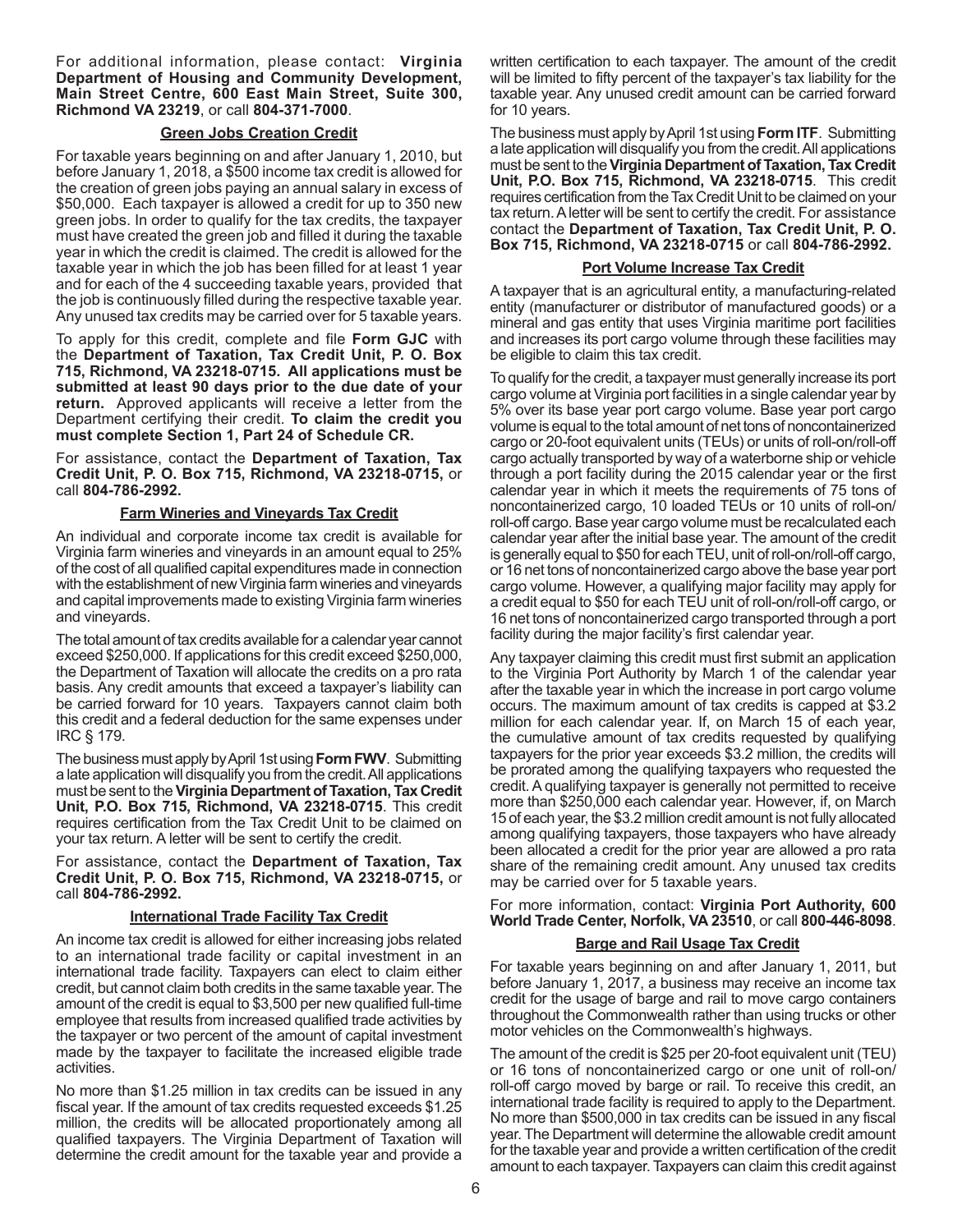For additional information, please contact: **Virginia Department of Housing and Community Development, Main Street Centre, 600 East Main Street, Suite 300, Richmond VA 23219**, or call **804-371-7000**.

## **Green Jobs Creation Credit**

For taxable years beginning on and after January 1, 2010, but before January 1, 2018, a \$500 income tax credit is allowed for the creation of green jobs paying an annual salary in excess of \$50,000. Each taxpayer is allowed a credit for up to 350 new green jobs. In order to qualify for the tax credits, the taxpayer must have created the green job and filled it during the taxable year in which the credit is claimed. The credit is allowed for the taxable year in which the job has been filled for at least 1 year and for each of the 4 succeeding taxable years, provided that the job is continuously filled during the respective taxable year. Any unused tax credits may be carried over for 5 taxable years.

To apply for this credit, complete and file **Form GJC** with the **Department of Taxation, Tax Credit Unit, P. O. Box 715, Richmond, VA 23218-0715. All applications must be submitted at least 90 days prior to the due date of your return.** Approved applicants will receive a letter from the Department certifying their credit. **To claim the credit you must complete Section 1, Part 24 of Schedule CR.**

For assistance, contact the **Department of Taxation, Tax Credit Unit, P. O. Box 715, Richmond, VA 23218-0715,** or call **804-786-2992.**

#### **Farm Wineries and Vineyards Tax Credit**

An individual and corporate income tax credit is available for Virginia farm wineries and vineyards in an amount equal to 25% of the cost of all qualified capital expenditures made in connection with the establishment of new Virginia farm wineries and vineyards and capital improvements made to existing Virginia farm wineries and vineyards.

The total amount of tax credits available for a calendar year cannot exceed \$250,000. If applications for this credit exceed \$250,000, the Department of Taxation will allocate the credits on a pro rata basis. Any credit amounts that exceed a taxpayer's liability can be carried forward for 10 years. Taxpayers cannot claim both this credit and a federal deduction for the same expenses under IRC § 179.

The business must apply by April 1st using **Form FWV**. Submitting a late application will disqualify you from the credit.All applications must be sent to the **Virginia Department of Taxation, Tax Credit Unit, P.O. Box 715, Richmond, VA 23218-0715**. This credit requires certification from the Tax Credit Unit to be claimed on your tax return. A letter will be sent to certify the credit.

For assistance, contact the **Department of Taxation, Tax Credit Unit, P. O. Box 715, Richmond, VA 23218-0715,** or call **804-786-2992.**

#### **International Trade Facility Tax Credit**

An income tax credit is allowed for either increasing jobs related to an international trade facility or capital investment in an international trade facility. Taxpayers can elect to claim either credit, but cannot claim both credits in the same taxable year.The amount of the credit is equal to \$3,500 per new qualified full-time employee that results from increased qualified trade activities by the taxpayer or two percent of the amount of capital investment made by the taxpayer to facilitate the increased eligible trade activities.

No more than \$1.25 million in tax credits can be issued in any fiscal year. If the amount of tax credits requested exceeds \$1.25 million, the credits will be allocated proportionately among all qualified taxpayers. The Virginia Department of Taxation will determine the credit amount for the taxable year and provide a written certification to each taxpayer. The amount of the credit will be limited to fifty percent of the taxpayer's tax liability for the taxable year. Any unused credit amount can be carried forward for 10 years.

The business must apply by April 1st using **Form ITF**. Submitting a late application will disqualify you from the credit.All applications must be sent to the **Virginia Department of Taxation, Tax Credit Unit, P.O. Box 715, Richmond, VA 23218-0715**. This credit requires certification from the Tax Credit Unit to be claimed on your tax return. A letter will be sent to certify the credit. For assistance contact the **Department of Taxation, Tax Credit Unit, P. O. Box 715, Richmond, VA 23218-0715** or call **804-786-2992.**

#### **Port Volume Increase Tax Credit**

A taxpayer that is an agricultural entity, a manufacturing-related entity (manufacturer or distributor of manufactured goods) or a mineral and gas entity that uses Virginia maritime port facilities and increases its port cargo volume through these facilities may be eligible to claim this tax credit.

To qualify for the credit, a taxpayer must generally increase its port cargo volume atVirginia port facilities in a single calendar year by 5% over its base year port cargo volume. Base year port cargo volume is equal to the total amount of net tons of noncontainerized cargo or 20-foot equivalent units (TEUs) or units of roll-on/roll-off cargo actually transported by way of a waterborne ship or vehicle through a port facility during the 2015 calendar year or the first calendar year in which it meets the requirements of 75 tons of noncontainerized cargo, 10 loaded TEUs or 10 units of roll-on/ roll-off cargo. Base year cargo volume must be recalculated each calendar year after the initial base year. The amount of the credit is generally equal to \$50 for each TEU, unit of roll-on/roll-off cargo, or 16 net tons of noncontainerized cargo above the base year port cargo volume. However, a qualifying major facility may apply for a credit equal to \$50 for each TEU unit of roll-on/roll-off cargo, or 16 net tons of noncontainerized cargo transported through a port facility during the major facility's first calendar year.

Any taxpayer claiming this credit must first submit an application to the Virginia Port Authority by March 1 of the calendar year after the taxable year in which the increase in port cargo volume occurs. The maximum amount of tax credits is capped at \$3.2 million for each calendar year. If, on March 15 of each year, the cumulative amount of tax credits requested by qualifying taxpayers for the prior year exceeds \$3.2 million, the credits will be prorated among the qualifying taxpayers who requested the credit.Aqualifying taxpayer is generally not permitted to receive more than \$250,000 each calendar year. However, if, on March 15 of each year, the \$3.2 million credit amount is not fully allocated among qualifying taxpayers, those taxpayers who have already been allocated a credit for the prior year are allowed a pro rata share of the remaining credit amount. Any unused tax credits may be carried over for 5 taxable years.

For more information, contact: **Virginia Port Authority, 600 World Trade Center, Norfolk, VA 23510**, or call **800-446-8098**.

#### **Barge and Rail Usage Tax Credit**

For taxable years beginning on and after January 1, 2011, but before January 1, 2017, a business may receive an income tax credit for the usage of barge and rail to move cargo containers throughout the Commonwealth rather than using trucks or other motor vehicles on the Commonwealth's highways.

The amount of the credit is \$25 per 20-foot equivalent unit (TEU) or 16 tons of noncontainerized cargo or one unit of roll-on/ roll-off cargo moved by barge or rail. To receive this credit, an international trade facility is required to apply to the Department. No more than \$500,000 in tax credits can be issued in any fiscal year. The Department will determine the allowable credit amount for the taxable year and provide a written certification of the credit amount to each taxpayer. Taxpayers can claim this credit against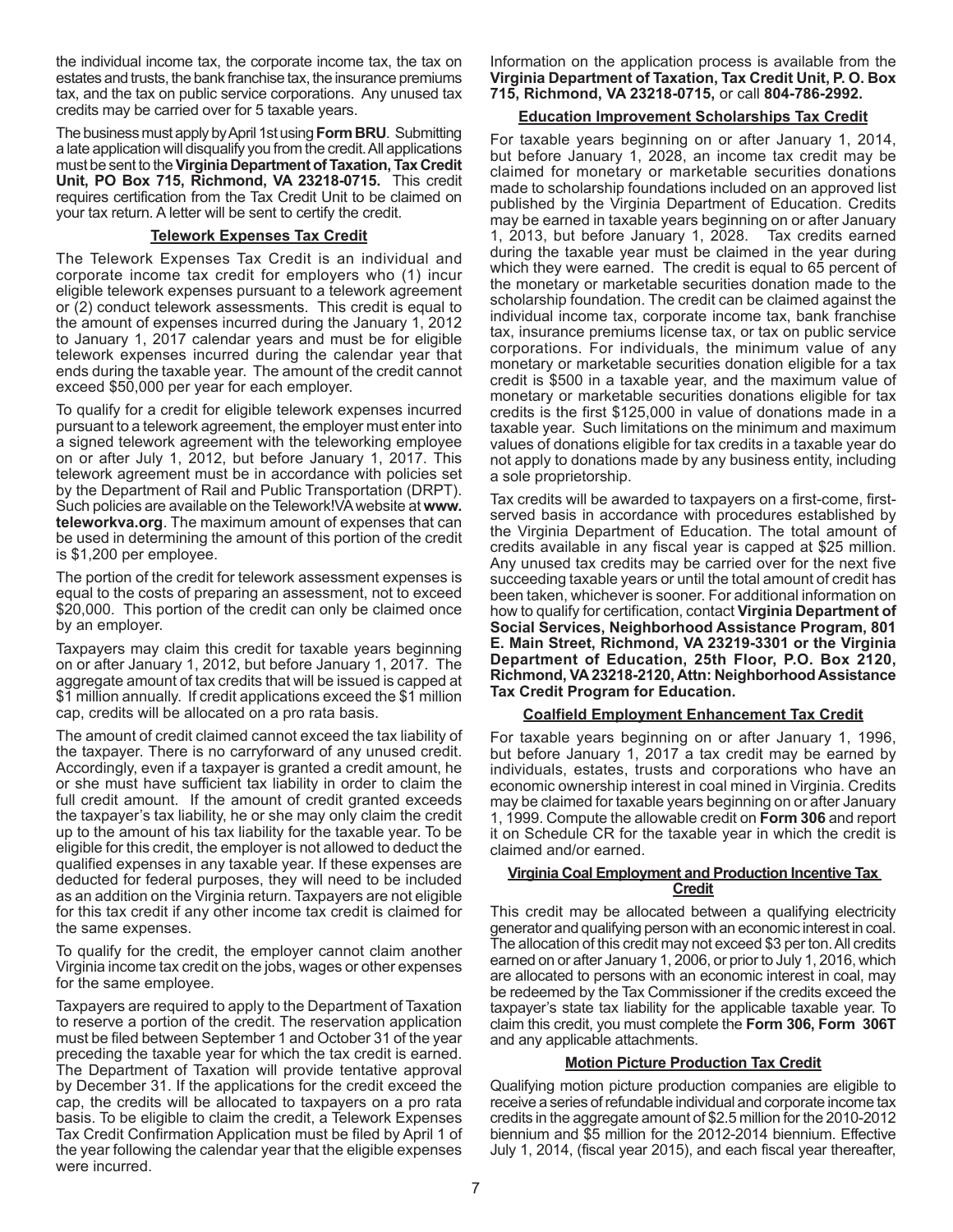the individual income tax, the corporate income tax, the tax on estates and trusts, the bank franchise tax, the insurance premiums tax, and the tax on public service corporations. Any unused tax credits may be carried over for 5 taxable years.

The business must apply by April 1st using **Form BRU**. Submitting a late application will disqualify you from the credit.All applications must be sent to the **Virginia Department of Taxation, Tax Credit Unit, PO Box 715, Richmond, VA 23218-0715.** This credit requires certification from the Tax Credit Unit to be claimed on your tax return. A letter will be sent to certify the credit.

### **Telework Expenses Tax Credit**

The Telework Expenses Tax Credit is an individual and corporate income tax credit for employers who (1) incur eligible telework expenses pursuant to a telework agreement or (2) conduct telework assessments. This credit is equal to the amount of expenses incurred during the January 1, 2012 to January 1, 2017 calendar years and must be for eligible telework expenses incurred during the calendar year that ends during the taxable year. The amount of the credit cannot exceed \$50,000 per year for each employer.

To qualify for a credit for eligible telework expenses incurred pursuant to a telework agreement, the employer must enter into a signed telework agreement with the teleworking employee on or after July 1, 2012, but before January 1, 2017. This telework agreement must be in accordance with policies set by the Department of Rail and Public Transportation (DRPT). Such policies are available on the Telework!VAwebsite at **www. teleworkva.org**. The maximum amount of expenses that can be used in determining the amount of this portion of the credit is \$1,200 per employee.

The portion of the credit for telework assessment expenses is equal to the costs of preparing an assessment, not to exceed \$20,000. This portion of the credit can only be claimed once by an employer.

Taxpayers may claim this credit for taxable years beginning on or after January 1, 2012, but before January 1, 2017. The aggregate amount of tax credits that will be issued is capped at \$1 million annually. If credit applications exceed the \$1 million cap, credits will be allocated on a pro rata basis.

The amount of credit claimed cannot exceed the tax liability of the taxpayer. There is no carryforward of any unused credit. Accordingly, even if a taxpayer is granted a credit amount, he or she must have sufficient tax liability in order to claim the full credit amount. If the amount of credit granted exceeds the taxpayer's tax liability, he or she may only claim the credit up to the amount of his tax liability for the taxable year. To be eligible for this credit, the employer is not allowed to deduct the qualified expenses in any taxable year. If these expenses are deducted for federal purposes, they will need to be included as an addition on the Virginia return. Taxpayers are not eligible for this tax credit if any other income tax credit is claimed for the same expenses.

To qualify for the credit, the employer cannot claim another Virginia income tax credit on the jobs, wages or other expenses for the same employee.

Taxpayers are required to apply to the Department of Taxation to reserve a portion of the credit. The reservation application must be filed between September 1 and October 31 of the year preceding the taxable year for which the tax credit is earned. The Department of Taxation will provide tentative approval by December 31. If the applications for the credit exceed the cap, the credits will be allocated to taxpayers on a pro rata basis. To be eligible to claim the credit, a Telework Expenses Tax Credit Confirmation Application must be filed by April 1 of the year following the calendar year that the eligible expenses were incurred.

Information on the application process is available from the **Virginia Department of Taxation, Tax Credit Unit, P. O. Box 715, Richmond, VA 23218-0715,** or call **804-786-2992.**

### **Education Improvement Scholarships Tax Credit**

For taxable years beginning on or after January 1, 2014, but before January 1, 2028, an income tax credit may be claimed for monetary or marketable securities donations made to scholarship foundations included on an approved list published by the Virginia Department of Education. Credits may be earned in taxable years beginning on or after January 1, 2013, but before January 1, 2028. Tax credits earned during the taxable year must be claimed in the year during which they were earned. The credit is equal to 65 percent of the monetary or marketable securities donation made to the scholarship foundation. The credit can be claimed against the individual income tax, corporate income tax, bank franchise tax, insurance premiums license tax, or tax on public service corporations. For individuals, the minimum value of any monetary or marketable securities donation eligible for a tax credit is \$500 in a taxable year, and the maximum value of monetary or marketable securities donations eligible for tax credits is the first \$125,000 in value of donations made in a taxable year. Such limitations on the minimum and maximum values of donations eligible for tax credits in a taxable year do not apply to donations made by any business entity, including a sole proprietorship.

Tax credits will be awarded to taxpayers on a first-come, firstserved basis in accordance with procedures established by the Virginia Department of Education. The total amount of credits available in any fiscal year is capped at \$25 million. Any unused tax credits may be carried over for the next five succeeding taxable years or until the total amount of credit has been taken, whichever is sooner. For additional information on how to qualify for certification, contact **Virginia Department of Social Services, Neighborhood Assistance Program, 801 E. Main Street, Richmond, VA 23219-3301 or the Virginia Department of Education, 25th Floor, P.O. Box 2120, Richmond, VA 23218-2120, Attn: Neighborhood Assistance Tax Credit Program for Education.**

#### **Coalfield Employment Enhancement Tax Credit**

For taxable years beginning on or after January 1, 1996, but before January 1, 2017 a tax credit may be earned by individuals, estates, trusts and corporations who have an economic ownership interest in coal mined in Virginia. Credits may be claimed for taxable years beginning on or after January 1, 1999. Compute the allowable credit on **Form 306** and report it on Schedule CR for the taxable year in which the credit is claimed and/or earned.

### **Virginia Coal Employment and Production Incentive Tax Credit**

This credit may be allocated between a qualifying electricity generator and qualifying person with an economic interest in coal. The allocation of this credit may not exceed \$3 per ton. All credits earned on or after January 1, 2006, or prior to July 1, 2016, which are allocated to persons with an economic interest in coal, may be redeemed by the Tax Commissioner if the credits exceed the taxpayer's state tax liability for the applicable taxable year. To claim this credit, you must complete the **Form 306, Form 306T** and any applicable attachments.

# **Motion Picture Production Tax Credit**

Qualifying motion picture production companies are eligible to receive a series of refundable individual and corporate income tax credits in the aggregate amount of \$2.5 million for the 2010-2012 biennium and \$5 million for the 2012-2014 biennium. Effective July 1, 2014, (fiscal year 2015), and each fiscal year thereafter,